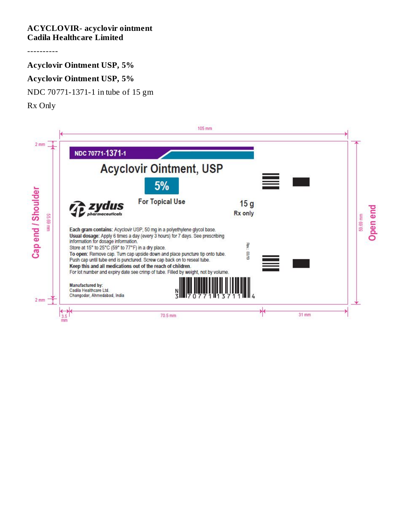## **ACYCLOVIR- acyclovir ointment Cadila Healthcare Limited**

----------

**Acyclovir Ointment USP, 5%**

## **Acyclovir Ointment USP, 5%**

NDC 70771-1371-1 in tube of 15 gm

Rx Only

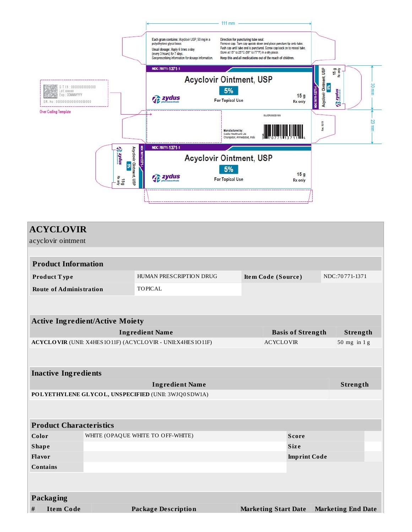

| <b>ACYCLOVIR</b>                                    |                                    |                                                            |                                      |                             |                     |                           |  |  |
|-----------------------------------------------------|------------------------------------|------------------------------------------------------------|--------------------------------------|-----------------------------|---------------------|---------------------------|--|--|
| acyclovir ointment                                  |                                    |                                                            |                                      |                             |                     |                           |  |  |
|                                                     |                                    |                                                            |                                      |                             |                     |                           |  |  |
| <b>Product Information</b>                          |                                    |                                                            |                                      |                             |                     |                           |  |  |
| Product Type                                        |                                    | HUMAN PRESCRIPTION DRUG                                    |                                      | Item Code (Source)          |                     | NDC:70771-1371            |  |  |
| <b>Route of Administration</b>                      |                                    | <b>TOPICAL</b>                                             |                                      |                             |                     |                           |  |  |
|                                                     |                                    |                                                            |                                      |                             |                     |                           |  |  |
|                                                     |                                    |                                                            |                                      |                             |                     |                           |  |  |
| <b>Active Ingredient/Active Moiety</b>              |                                    |                                                            |                                      |                             |                     |                           |  |  |
|                                                     | <b>Ingredient Name</b>             |                                                            | <b>Basis of Strength</b><br>Strength |                             |                     |                           |  |  |
|                                                     |                                    | ACYCLOVIR (UNII: X4HES1O11F) (ACYCLOVIR - UNII:X4HES1O11F) | <b>ACYCLOVIR</b>                     |                             |                     | 50 mg in 1g               |  |  |
|                                                     |                                    |                                                            |                                      |                             |                     |                           |  |  |
| <b>Inactive Ingredients</b>                         |                                    |                                                            |                                      |                             |                     |                           |  |  |
|                                                     | <b>Ingredient Name</b><br>Strength |                                                            |                                      |                             |                     |                           |  |  |
| POLYETHYLENE GLYCOL, UNSPECIFIED (UNII: 3WJQ0SDW1A) |                                    |                                                            |                                      |                             |                     |                           |  |  |
|                                                     |                                    |                                                            |                                      |                             |                     |                           |  |  |
|                                                     |                                    |                                                            |                                      |                             |                     |                           |  |  |
| <b>Product Characteristics</b>                      |                                    |                                                            |                                      |                             |                     |                           |  |  |
| WHITE (OPAQUE WHITE TO OFF-WHITE)<br>Color          |                                    |                                                            |                                      | <b>Score</b>                |                     |                           |  |  |
| <b>Shape</b><br><b>Size</b>                         |                                    |                                                            |                                      |                             |                     |                           |  |  |
| Flavor                                              |                                    |                                                            |                                      |                             | <b>Imprint Code</b> |                           |  |  |
| <b>Contains</b>                                     |                                    |                                                            |                                      |                             |                     |                           |  |  |
|                                                     |                                    |                                                            |                                      |                             |                     |                           |  |  |
| Packaging                                           |                                    |                                                            |                                      |                             |                     |                           |  |  |
| $\#$<br><b>Item Code</b>                            |                                    | <b>Package Description</b>                                 |                                      | <b>Marketing Start Date</b> |                     | <b>Marketing End Date</b> |  |  |
|                                                     |                                    |                                                            |                                      |                             |                     |                           |  |  |